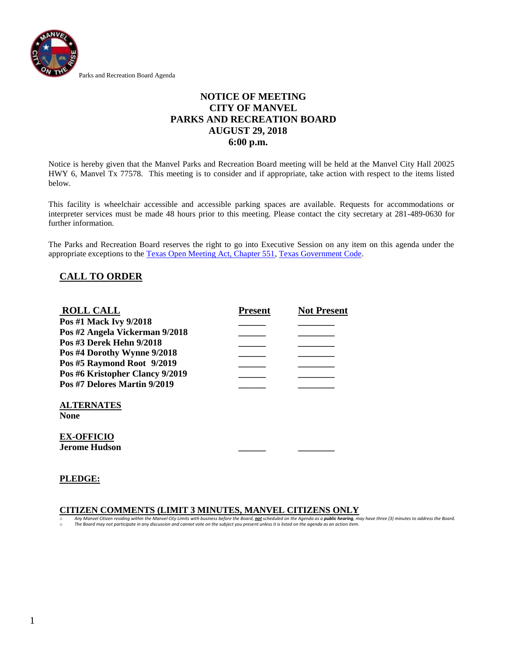

## **NOTICE OF MEETING CITY OF MANVEL PARKS AND RECREATION BOARD AUGUST 29, 2018 6:00 p.m.**

Notice is hereby given that the Manvel Parks and Recreation Board meeting will be held at the Manvel City Hall 20025 HWY 6, Manvel Tx 77578. This meeting is to consider and if appropriate, take action with respect to the items listed below.

This facility is wheelchair accessible and accessible parking spaces are available. Requests for accommodations or interpreter services must be made 48 hours prior to this meeting. Please contact the city secretary at 281-489-0630 for further information.

The Parks and Recreation Board reserves the right to go into Executive Session on any item on this agenda under the appropriate exceptions to the [Texas Open Meeting Act, Chapter 551,](http://www.capitol.state.tx.us/statutes/docs/GV/content/htm/gv.005.00.000551.00.htm) [Texas Government Code.](http://www.capitol.state.tx.us/statutes/gv.toc.htm)

## **CALL TO ORDER**

| <b>ROLL CALL</b>                                                | <b>Present</b> | <b>Not Present</b> |
|-----------------------------------------------------------------|----------------|--------------------|
| Pos #1 Mack Ivy 9/2018                                          |                |                    |
| Pos #2 Angela Vickerman 9/2018                                  |                |                    |
| Pos #3 Derek Hehn 9/2018                                        |                |                    |
| Pos #4 Dorothy Wynne 9/2018                                     |                |                    |
| Pos #5 Raymond Root 9/2019                                      |                |                    |
| Pos #6 Kristopher Clancy 9/2019<br>Pos #7 Delores Martin 9/2019 |                |                    |
|                                                                 |                |                    |
| <b>ALTERNATES</b><br><b>None</b>                                |                |                    |
| <b>EX-OFFICIO</b><br>Jerome Hudson                              |                |                    |

#### **PLEDGE:**

### **CITIZEN COMMENTS (LIMIT 3 MINUTES, MANVEL CITIZENS ONLY**

Any Manvel Citizen residing within the Manvel City Limits with business before the Board, not scheduled on the Agenda as a public hearing, may have three (3) minutes to address the Board. o *The Board may not participate in any discussion and cannot vote on the subject you present unless it is listed on the agenda as an action item.*